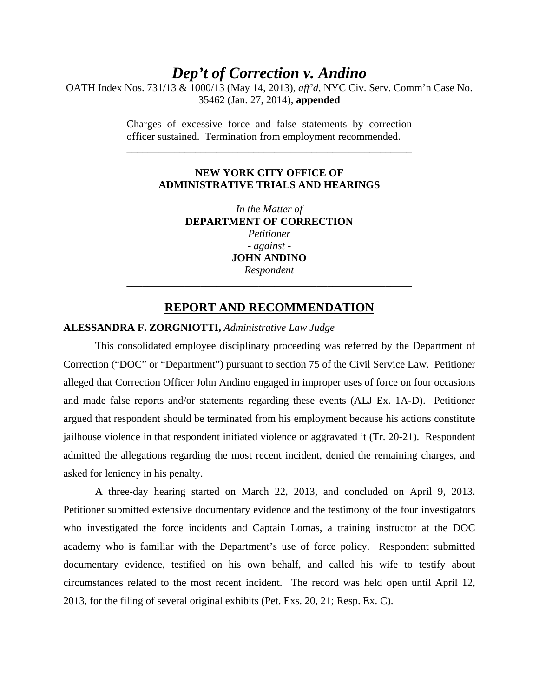# *Dep't of Correction v. Andino*

OATH Index Nos. 731/13 & 1000/13 (May 14, 2013), *aff'd*, NYC Civ. Serv. Comm'n Case No. 35462 (Jan. 27, 2014), **appended**

> Charges of excessive force and false statements by correction officer sustained. Termination from employment recommended.

> \_\_\_\_\_\_\_\_\_\_\_\_\_\_\_\_\_\_\_\_\_\_\_\_\_\_\_\_\_\_\_\_\_\_\_\_\_\_\_\_\_\_\_\_\_\_\_\_\_\_\_\_\_\_

## **NEW YORK CITY OFFICE OF ADMINISTRATIVE TRIALS AND HEARINGS**

*In the Matter of*  **DEPARTMENT OF CORRECTION**  *Petitioner - against -* **JOHN ANDINO** *Respondent* \_\_\_\_\_\_\_\_\_\_\_\_\_\_\_\_\_\_\_\_\_\_\_\_\_\_\_\_\_\_\_\_\_\_\_\_\_\_\_\_\_\_\_\_\_\_\_\_\_\_\_\_\_\_

# **REPORT AND RECOMMENDATION**

#### **ALESSANDRA F. ZORGNIOTTI,** *Administrative Law Judge*

This consolidated employee disciplinary proceeding was referred by the Department of Correction ("DOC" or "Department") pursuant to section 75 of the Civil Service Law. Petitioner alleged that Correction Officer John Andino engaged in improper uses of force on four occasions and made false reports and/or statements regarding these events (ALJ Ex. 1A-D). Petitioner argued that respondent should be terminated from his employment because his actions constitute jailhouse violence in that respondent initiated violence or aggravated it (Tr. 20-21). Respondent admitted the allegations regarding the most recent incident, denied the remaining charges, and asked for leniency in his penalty.

 A three-day hearing started on March 22, 2013, and concluded on April 9, 2013. Petitioner submitted extensive documentary evidence and the testimony of the four investigators who investigated the force incidents and Captain Lomas, a training instructor at the DOC academy who is familiar with the Department's use of force policy. Respondent submitted documentary evidence, testified on his own behalf, and called his wife to testify about circumstances related to the most recent incident. The record was held open until April 12, 2013, for the filing of several original exhibits (Pet. Exs. 20, 21; Resp. Ex. C).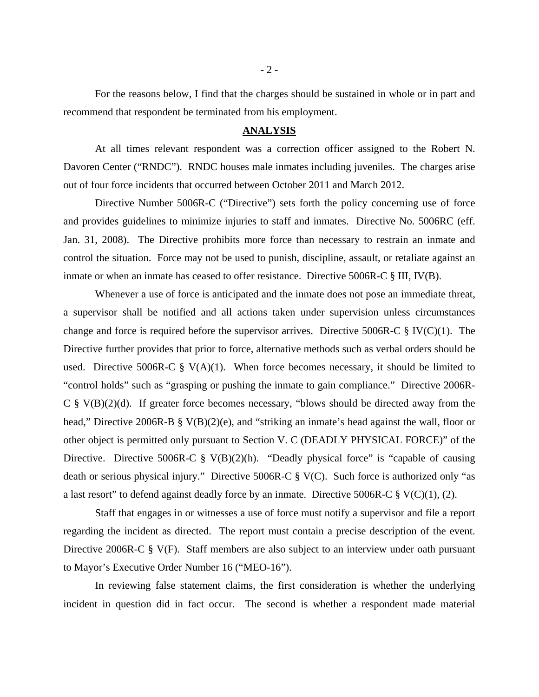For the reasons below, I find that the charges should be sustained in whole or in part and recommend that respondent be terminated from his employment.

### **ANALYSIS**

At all times relevant respondent was a correction officer assigned to the Robert N. Davoren Center ("RNDC"). RNDC houses male inmates including juveniles. The charges arise out of four force incidents that occurred between October 2011 and March 2012.

Directive Number 5006R-C ("Directive") sets forth the policy concerning use of force and provides guidelines to minimize injuries to staff and inmates. Directive No. 5006RC (eff. Jan. 31, 2008). The Directive prohibits more force than necessary to restrain an inmate and control the situation. Force may not be used to punish, discipline, assault, or retaliate against an inmate or when an inmate has ceased to offer resistance. Directive 5006R-C § III, IV(B).

Whenever a use of force is anticipated and the inmate does not pose an immediate threat, a supervisor shall be notified and all actions taken under supervision unless circumstances change and force is required before the supervisor arrives. Directive  $5006R-C \S IV(C)(1)$ . The Directive further provides that prior to force, alternative methods such as verbal orders should be used. Directive 5006R-C  $\S V(A)(1)$ . When force becomes necessary, it should be limited to "control holds" such as "grasping or pushing the inmate to gain compliance." Directive 2006R-C  $\S$  V(B)(2)(d). If greater force becomes necessary, "blows should be directed away from the head," Directive 2006R-B § V(B)(2)(e), and "striking an inmate's head against the wall, floor or other object is permitted only pursuant to Section V. C (DEADLY PHYSICAL FORCE)" of the Directive. Directive 5006R-C  $\S$  V(B)(2)(h). "Deadly physical force" is "capable of causing death or serious physical injury." Directive 5006R-C § V(C). Such force is authorized only "as a last resort" to defend against deadly force by an inmate. Directive 5006R-C  $\S V(C)(1)$ , (2).

Staff that engages in or witnesses a use of force must notify a supervisor and file a report regarding the incident as directed. The report must contain a precise description of the event. Directive 2006R-C § V(F). Staff members are also subject to an interview under oath pursuant to Mayor's Executive Order Number 16 ("MEO-16").

In reviewing false statement claims, the first consideration is whether the underlying incident in question did in fact occur. The second is whether a respondent made material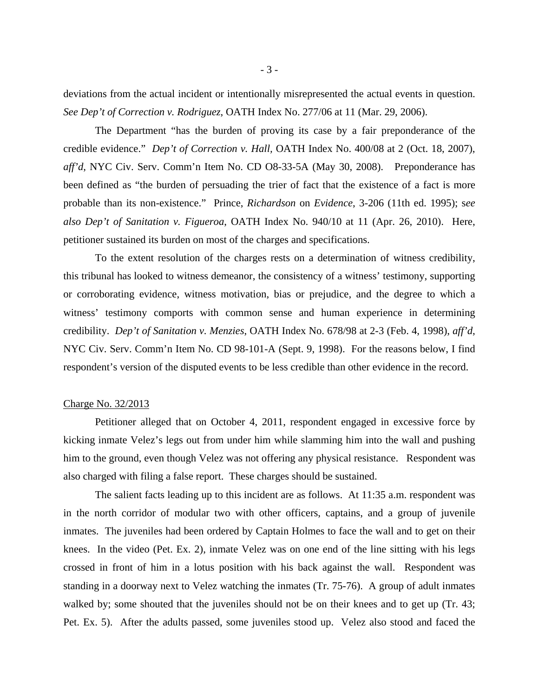deviations from the actual incident or intentionally misrepresented the actual events in question. *See Dep't of Correction v. Rodriguez*, OATH Index No. 277/06 at 11 (Mar. 29, 2006).

The Department "has the burden of proving its case by a fair preponderance of the credible evidence." *Dep't of Correction v. Hall,* OATH Index No. 400/08 at 2 (Oct. 18, 2007), *aff'd*, NYC Civ. Serv. Comm'n Item No. CD O8-33-5A (May 30, 2008). Preponderance has been defined as "the burden of persuading the trier of fact that the existence of a fact is more probable than its non-existence." Prince, *Richardson* on *Evidence*, 3-206 (11th ed. 1995); s*ee also Dep't of Sanitation v. Figueroa*, OATH Index No. 940/10 at 11 (Apr. 26, 2010). Here, petitioner sustained its burden on most of the charges and specifications.

To the extent resolution of the charges rests on a determination of witness credibility, this tribunal has looked to witness demeanor, the consistency of a witness' testimony, supporting or corroborating evidence, witness motivation, bias or prejudice, and the degree to which a witness' testimony comports with common sense and human experience in determining credibility. *Dep't of Sanitation v. Menzies*, OATH Index No. 678/98 at 2-3 (Feb. 4, 1998), *aff'd*, NYC Civ. Serv. Comm'n Item No. CD 98-101-A (Sept. 9, 1998). For the reasons below, I find respondent's version of the disputed events to be less credible than other evidence in the record.

#### Charge No. 32/2013

 Petitioner alleged that on October 4, 2011, respondent engaged in excessive force by kicking inmate Velez's legs out from under him while slamming him into the wall and pushing him to the ground, even though Velez was not offering any physical resistance. Respondent was also charged with filing a false report. These charges should be sustained.

The salient facts leading up to this incident are as follows. At 11:35 a.m. respondent was in the north corridor of modular two with other officers, captains, and a group of juvenile inmates. The juveniles had been ordered by Captain Holmes to face the wall and to get on their knees. In the video (Pet. Ex. 2), inmate Velez was on one end of the line sitting with his legs crossed in front of him in a lotus position with his back against the wall. Respondent was standing in a doorway next to Velez watching the inmates (Tr. 75-76). A group of adult inmates walked by; some shouted that the juveniles should not be on their knees and to get up (Tr. 43; Pet. Ex. 5). After the adults passed, some juveniles stood up. Velez also stood and faced the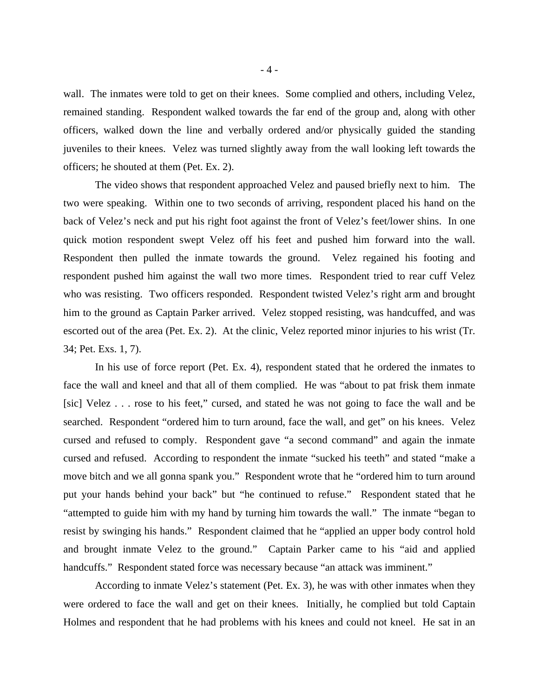wall. The inmates were told to get on their knees. Some complied and others, including Velez, remained standing. Respondent walked towards the far end of the group and, along with other officers, walked down the line and verbally ordered and/or physically guided the standing juveniles to their knees. Velez was turned slightly away from the wall looking left towards the officers; he shouted at them (Pet. Ex. 2).

The video shows that respondent approached Velez and paused briefly next to him. The two were speaking. Within one to two seconds of arriving, respondent placed his hand on the back of Velez's neck and put his right foot against the front of Velez's feet/lower shins. In one quick motion respondent swept Velez off his feet and pushed him forward into the wall. Respondent then pulled the inmate towards the ground. Velez regained his footing and respondent pushed him against the wall two more times. Respondent tried to rear cuff Velez who was resisting. Two officers responded. Respondent twisted Velez's right arm and brought him to the ground as Captain Parker arrived. Velez stopped resisting, was handcuffed, and was escorted out of the area (Pet. Ex. 2). At the clinic, Velez reported minor injuries to his wrist (Tr. 34; Pet. Exs. 1, 7).

In his use of force report (Pet. Ex. 4), respondent stated that he ordered the inmates to face the wall and kneel and that all of them complied. He was "about to pat frisk them inmate [sic] Velez . . . rose to his feet," cursed, and stated he was not going to face the wall and be searched. Respondent "ordered him to turn around, face the wall, and get" on his knees. Velez cursed and refused to comply. Respondent gave "a second command" and again the inmate cursed and refused. According to respondent the inmate "sucked his teeth" and stated "make a move bitch and we all gonna spank you." Respondent wrote that he "ordered him to turn around put your hands behind your back" but "he continued to refuse." Respondent stated that he "attempted to guide him with my hand by turning him towards the wall." The inmate "began to resist by swinging his hands." Respondent claimed that he "applied an upper body control hold and brought inmate Velez to the ground." Captain Parker came to his "aid and applied handcuffs." Respondent stated force was necessary because "an attack was imminent."

According to inmate Velez's statement (Pet. Ex. 3), he was with other inmates when they were ordered to face the wall and get on their knees. Initially, he complied but told Captain Holmes and respondent that he had problems with his knees and could not kneel. He sat in an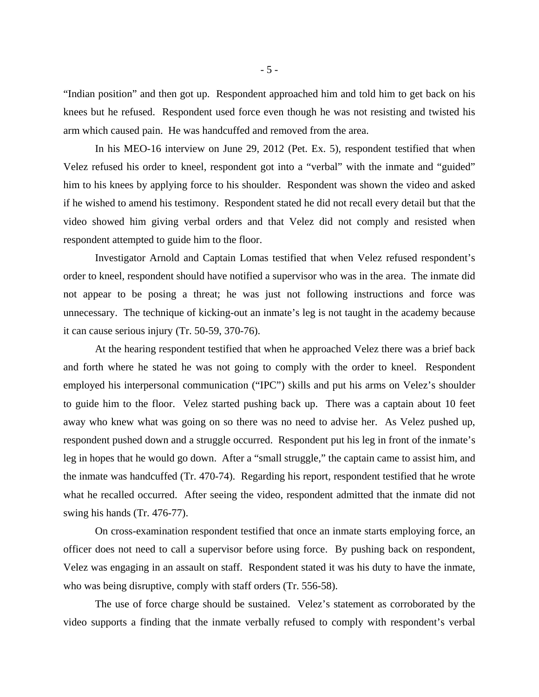"Indian position" and then got up. Respondent approached him and told him to get back on his knees but he refused. Respondent used force even though he was not resisting and twisted his arm which caused pain. He was handcuffed and removed from the area.

In his MEO-16 interview on June 29, 2012 (Pet. Ex. 5), respondent testified that when Velez refused his order to kneel, respondent got into a "verbal" with the inmate and "guided" him to his knees by applying force to his shoulder. Respondent was shown the video and asked if he wished to amend his testimony. Respondent stated he did not recall every detail but that the video showed him giving verbal orders and that Velez did not comply and resisted when respondent attempted to guide him to the floor.

Investigator Arnold and Captain Lomas testified that when Velez refused respondent's order to kneel, respondent should have notified a supervisor who was in the area. The inmate did not appear to be posing a threat; he was just not following instructions and force was unnecessary. The technique of kicking-out an inmate's leg is not taught in the academy because it can cause serious injury (Tr. 50-59, 370-76).

At the hearing respondent testified that when he approached Velez there was a brief back and forth where he stated he was not going to comply with the order to kneel. Respondent employed his interpersonal communication ("IPC") skills and put his arms on Velez's shoulder to guide him to the floor. Velez started pushing back up. There was a captain about 10 feet away who knew what was going on so there was no need to advise her. As Velez pushed up, respondent pushed down and a struggle occurred. Respondent put his leg in front of the inmate's leg in hopes that he would go down. After a "small struggle," the captain came to assist him, and the inmate was handcuffed (Tr. 470-74). Regarding his report, respondent testified that he wrote what he recalled occurred. After seeing the video, respondent admitted that the inmate did not swing his hands (Tr. 476-77).

On cross-examination respondent testified that once an inmate starts employing force, an officer does not need to call a supervisor before using force. By pushing back on respondent, Velez was engaging in an assault on staff. Respondent stated it was his duty to have the inmate, who was being disruptive, comply with staff orders (Tr. 556-58).

The use of force charge should be sustained. Velez's statement as corroborated by the video supports a finding that the inmate verbally refused to comply with respondent's verbal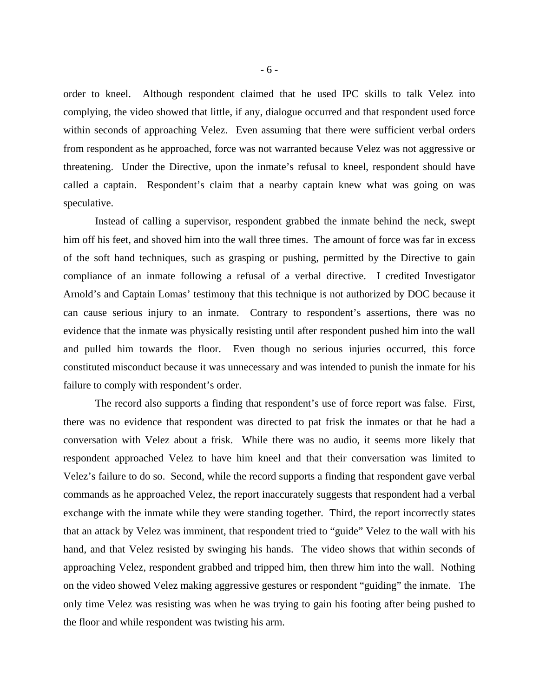order to kneel. Although respondent claimed that he used IPC skills to talk Velez into complying, the video showed that little, if any, dialogue occurred and that respondent used force within seconds of approaching Velez. Even assuming that there were sufficient verbal orders from respondent as he approached, force was not warranted because Velez was not aggressive or threatening. Under the Directive, upon the inmate's refusal to kneel, respondent should have called a captain. Respondent's claim that a nearby captain knew what was going on was speculative.

Instead of calling a supervisor, respondent grabbed the inmate behind the neck, swept him off his feet, and shoved him into the wall three times. The amount of force was far in excess of the soft hand techniques, such as grasping or pushing, permitted by the Directive to gain compliance of an inmate following a refusal of a verbal directive. I credited Investigator Arnold's and Captain Lomas' testimony that this technique is not authorized by DOC because it can cause serious injury to an inmate. Contrary to respondent's assertions, there was no evidence that the inmate was physically resisting until after respondent pushed him into the wall and pulled him towards the floor. Even though no serious injuries occurred, this force constituted misconduct because it was unnecessary and was intended to punish the inmate for his failure to comply with respondent's order.

The record also supports a finding that respondent's use of force report was false. First, there was no evidence that respondent was directed to pat frisk the inmates or that he had a conversation with Velez about a frisk. While there was no audio, it seems more likely that respondent approached Velez to have him kneel and that their conversation was limited to Velez's failure to do so. Second, while the record supports a finding that respondent gave verbal commands as he approached Velez, the report inaccurately suggests that respondent had a verbal exchange with the inmate while they were standing together. Third, the report incorrectly states that an attack by Velez was imminent, that respondent tried to "guide" Velez to the wall with his hand, and that Velez resisted by swinging his hands. The video shows that within seconds of approaching Velez, respondent grabbed and tripped him, then threw him into the wall. Nothing on the video showed Velez making aggressive gestures or respondent "guiding" the inmate. The only time Velez was resisting was when he was trying to gain his footing after being pushed to the floor and while respondent was twisting his arm.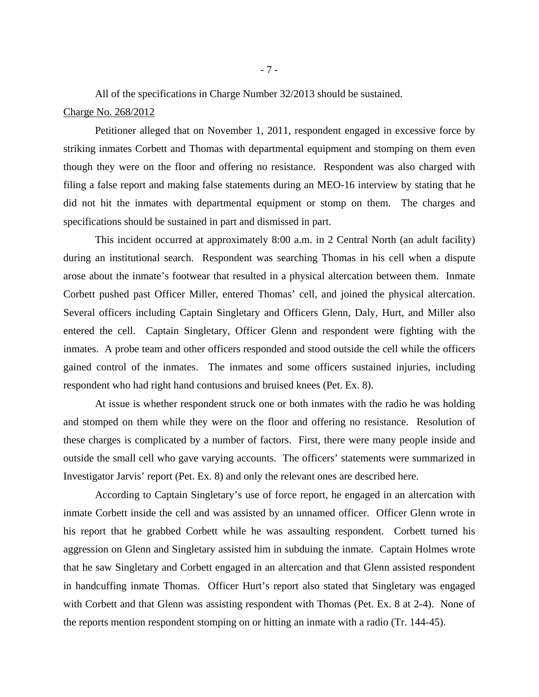All of the specifications in Charge Number 32/2013 should be sustained.

### Charge No. 268/2012

Petitioner alleged that on November 1, 2011, respondent engaged in excessive force by striking inmates Corbett and Thomas with departmental equipment and stomping on them even though they were on the floor and offering no resistance. Respondent was also charged with filing a false report and making false statements during an MEO-16 interview by stating that he did not hit the inmates with departmental equipment or stomp on them. The charges and specifications should be sustained in part and dismissed in part.

 This incident occurred at approximately 8:00 a.m. in 2 Central North (an adult facility) during an institutional search. Respondent was searching Thomas in his cell when a dispute arose about the inmate's footwear that resulted in a physical altercation between them. Inmate Corbett pushed past Officer Miller, entered Thomas' cell, and joined the physical altercation. Several officers including Captain Singletary and Officers Glenn, Daly, Hurt, and Miller also entered the cell. Captain Singletary, Officer Glenn and respondent were fighting with the inmates. A probe team and other officers responded and stood outside the cell while the officers gained control of the inmates. The inmates and some officers sustained injuries, including respondent who had right hand contusions and bruised knees (Pet. Ex. 8).

At issue is whether respondent struck one or both inmates with the radio he was holding and stomped on them while they were on the floor and offering no resistance. Resolution of these charges is complicated by a number of factors. First, there were many people inside and outside the small cell who gave varying accounts. The officers' statements were summarized in Investigator Jarvis' report (Pet. Ex. 8) and only the relevant ones are described here.

According to Captain Singletary's use of force report, he engaged in an altercation with inmate Corbett inside the cell and was assisted by an unnamed officer. Officer Glenn wrote in his report that he grabbed Corbett while he was assaulting respondent. Corbett turned his aggression on Glenn and Singletary assisted him in subduing the inmate. Captain Holmes wrote that he saw Singletary and Corbett engaged in an altercation and that Glenn assisted respondent in handcuffing inmate Thomas. Officer Hurt's report also stated that Singletary was engaged with Corbett and that Glenn was assisting respondent with Thomas (Pet. Ex. 8 at 2-4). None of the reports mention respondent stomping on or hitting an inmate with a radio (Tr. 144-45).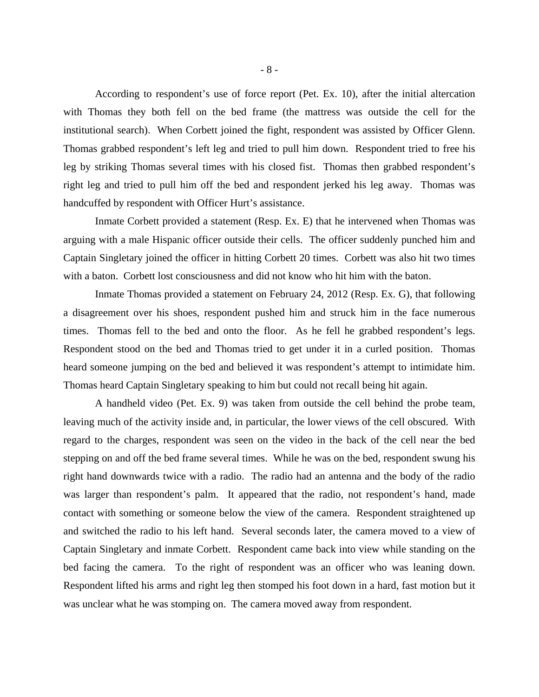According to respondent's use of force report (Pet. Ex. 10), after the initial altercation with Thomas they both fell on the bed frame (the mattress was outside the cell for the institutional search). When Corbett joined the fight, respondent was assisted by Officer Glenn. Thomas grabbed respondent's left leg and tried to pull him down. Respondent tried to free his leg by striking Thomas several times with his closed fist. Thomas then grabbed respondent's right leg and tried to pull him off the bed and respondent jerked his leg away. Thomas was handcuffed by respondent with Officer Hurt's assistance.

Inmate Corbett provided a statement (Resp. Ex. E) that he intervened when Thomas was arguing with a male Hispanic officer outside their cells. The officer suddenly punched him and Captain Singletary joined the officer in hitting Corbett 20 times. Corbett was also hit two times with a baton. Corbett lost consciousness and did not know who hit him with the baton.

Inmate Thomas provided a statement on February 24, 2012 (Resp. Ex. G), that following a disagreement over his shoes, respondent pushed him and struck him in the face numerous times. Thomas fell to the bed and onto the floor. As he fell he grabbed respondent's legs. Respondent stood on the bed and Thomas tried to get under it in a curled position. Thomas heard someone jumping on the bed and believed it was respondent's attempt to intimidate him. Thomas heard Captain Singletary speaking to him but could not recall being hit again.

A handheld video (Pet. Ex. 9) was taken from outside the cell behind the probe team, leaving much of the activity inside and, in particular, the lower views of the cell obscured. With regard to the charges, respondent was seen on the video in the back of the cell near the bed stepping on and off the bed frame several times. While he was on the bed, respondent swung his right hand downwards twice with a radio. The radio had an antenna and the body of the radio was larger than respondent's palm. It appeared that the radio, not respondent's hand, made contact with something or someone below the view of the camera. Respondent straightened up and switched the radio to his left hand. Several seconds later, the camera moved to a view of Captain Singletary and inmate Corbett. Respondent came back into view while standing on the bed facing the camera. To the right of respondent was an officer who was leaning down. Respondent lifted his arms and right leg then stomped his foot down in a hard, fast motion but it was unclear what he was stomping on. The camera moved away from respondent.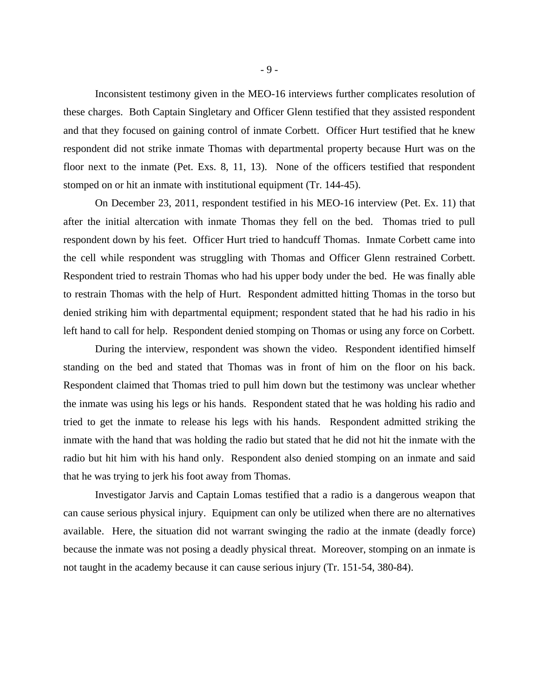Inconsistent testimony given in the MEO-16 interviews further complicates resolution of these charges. Both Captain Singletary and Officer Glenn testified that they assisted respondent and that they focused on gaining control of inmate Corbett. Officer Hurt testified that he knew respondent did not strike inmate Thomas with departmental property because Hurt was on the floor next to the inmate (Pet. Exs. 8, 11, 13). None of the officers testified that respondent stomped on or hit an inmate with institutional equipment (Tr. 144-45).

On December 23, 2011, respondent testified in his MEO-16 interview (Pet. Ex. 11) that after the initial altercation with inmate Thomas they fell on the bed. Thomas tried to pull respondent down by his feet. Officer Hurt tried to handcuff Thomas. Inmate Corbett came into the cell while respondent was struggling with Thomas and Officer Glenn restrained Corbett. Respondent tried to restrain Thomas who had his upper body under the bed. He was finally able to restrain Thomas with the help of Hurt. Respondent admitted hitting Thomas in the torso but denied striking him with departmental equipment; respondent stated that he had his radio in his left hand to call for help. Respondent denied stomping on Thomas or using any force on Corbett.

During the interview, respondent was shown the video. Respondent identified himself standing on the bed and stated that Thomas was in front of him on the floor on his back. Respondent claimed that Thomas tried to pull him down but the testimony was unclear whether the inmate was using his legs or his hands. Respondent stated that he was holding his radio and tried to get the inmate to release his legs with his hands. Respondent admitted striking the inmate with the hand that was holding the radio but stated that he did not hit the inmate with the radio but hit him with his hand only. Respondent also denied stomping on an inmate and said that he was trying to jerk his foot away from Thomas.

Investigator Jarvis and Captain Lomas testified that a radio is a dangerous weapon that can cause serious physical injury. Equipment can only be utilized when there are no alternatives available. Here, the situation did not warrant swinging the radio at the inmate (deadly force) because the inmate was not posing a deadly physical threat. Moreover, stomping on an inmate is not taught in the academy because it can cause serious injury (Tr. 151-54, 380-84).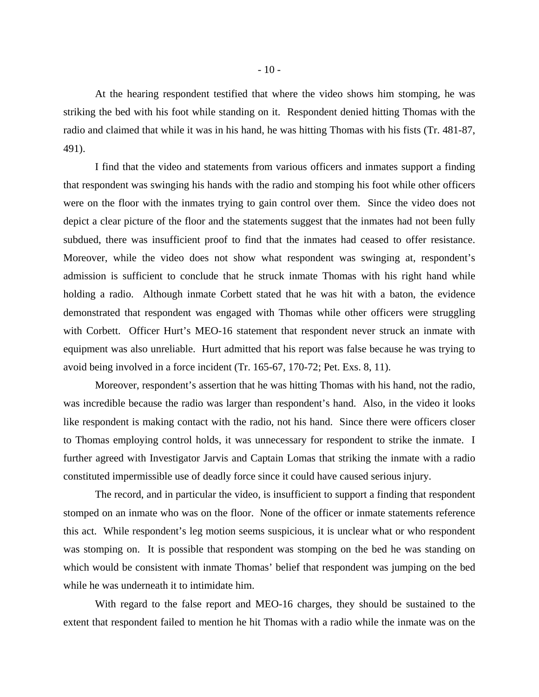At the hearing respondent testified that where the video shows him stomping, he was striking the bed with his foot while standing on it. Respondent denied hitting Thomas with the radio and claimed that while it was in his hand, he was hitting Thomas with his fists (Tr. 481-87, 491).

I find that the video and statements from various officers and inmates support a finding that respondent was swinging his hands with the radio and stomping his foot while other officers were on the floor with the inmates trying to gain control over them. Since the video does not depict a clear picture of the floor and the statements suggest that the inmates had not been fully subdued, there was insufficient proof to find that the inmates had ceased to offer resistance. Moreover, while the video does not show what respondent was swinging at, respondent's admission is sufficient to conclude that he struck inmate Thomas with his right hand while holding a radio. Although inmate Corbett stated that he was hit with a baton, the evidence demonstrated that respondent was engaged with Thomas while other officers were struggling with Corbett. Officer Hurt's MEO-16 statement that respondent never struck an inmate with equipment was also unreliable. Hurt admitted that his report was false because he was trying to avoid being involved in a force incident (Tr. 165-67, 170-72; Pet. Exs. 8, 11).

Moreover, respondent's assertion that he was hitting Thomas with his hand, not the radio, was incredible because the radio was larger than respondent's hand. Also, in the video it looks like respondent is making contact with the radio, not his hand. Since there were officers closer to Thomas employing control holds, it was unnecessary for respondent to strike the inmate. I further agreed with Investigator Jarvis and Captain Lomas that striking the inmate with a radio constituted impermissible use of deadly force since it could have caused serious injury.

The record, and in particular the video, is insufficient to support a finding that respondent stomped on an inmate who was on the floor. None of the officer or inmate statements reference this act. While respondent's leg motion seems suspicious, it is unclear what or who respondent was stomping on. It is possible that respondent was stomping on the bed he was standing on which would be consistent with inmate Thomas' belief that respondent was jumping on the bed while he was underneath it to intimidate him.

 With regard to the false report and MEO-16 charges, they should be sustained to the extent that respondent failed to mention he hit Thomas with a radio while the inmate was on the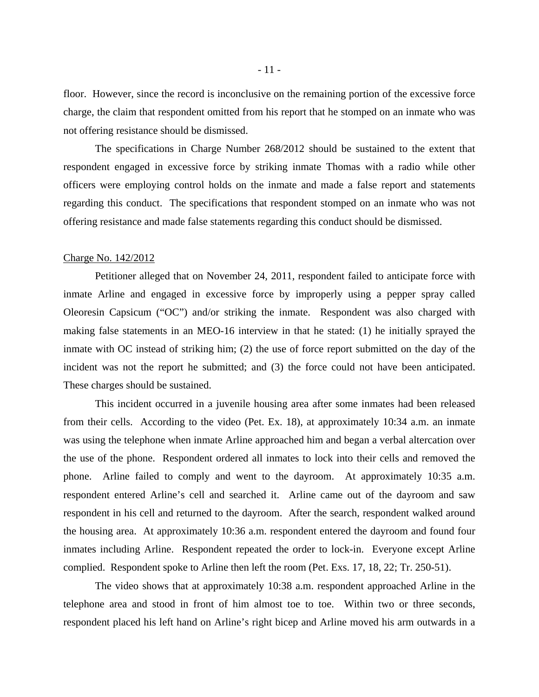floor. However, since the record is inconclusive on the remaining portion of the excessive force charge, the claim that respondent omitted from his report that he stomped on an inmate who was not offering resistance should be dismissed.

The specifications in Charge Number 268/2012 should be sustained to the extent that respondent engaged in excessive force by striking inmate Thomas with a radio while other officers were employing control holds on the inmate and made a false report and statements regarding this conduct. The specifications that respondent stomped on an inmate who was not offering resistance and made false statements regarding this conduct should be dismissed.

#### Charge No. 142/2012

Petitioner alleged that on November 24, 2011, respondent failed to anticipate force with inmate Arline and engaged in excessive force by improperly using a pepper spray called Oleoresin Capsicum ("OC") and/or striking the inmate. Respondent was also charged with making false statements in an MEO-16 interview in that he stated: (1) he initially sprayed the inmate with OC instead of striking him; (2) the use of force report submitted on the day of the incident was not the report he submitted; and (3) the force could not have been anticipated. These charges should be sustained.

This incident occurred in a juvenile housing area after some inmates had been released from their cells. According to the video (Pet. Ex. 18), at approximately 10:34 a.m. an inmate was using the telephone when inmate Arline approached him and began a verbal altercation over the use of the phone. Respondent ordered all inmates to lock into their cells and removed the phone. Arline failed to comply and went to the dayroom. At approximately 10:35 a.m. respondent entered Arline's cell and searched it. Arline came out of the dayroom and saw respondent in his cell and returned to the dayroom. After the search, respondent walked around the housing area. At approximately 10:36 a.m. respondent entered the dayroom and found four inmates including Arline. Respondent repeated the order to lock-in. Everyone except Arline complied. Respondent spoke to Arline then left the room (Pet. Exs. 17, 18, 22; Tr. 250-51).

The video shows that at approximately 10:38 a.m. respondent approached Arline in the telephone area and stood in front of him almost toe to toe. Within two or three seconds, respondent placed his left hand on Arline's right bicep and Arline moved his arm outwards in a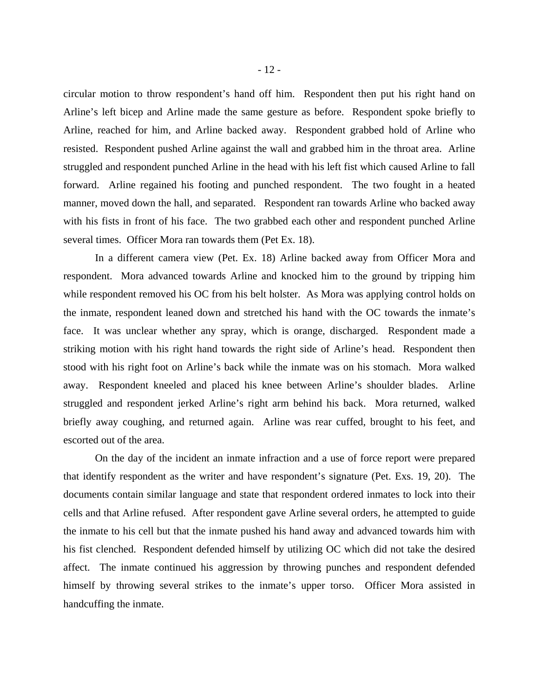circular motion to throw respondent's hand off him. Respondent then put his right hand on Arline's left bicep and Arline made the same gesture as before. Respondent spoke briefly to Arline, reached for him, and Arline backed away. Respondent grabbed hold of Arline who resisted. Respondent pushed Arline against the wall and grabbed him in the throat area. Arline struggled and respondent punched Arline in the head with his left fist which caused Arline to fall forward. Arline regained his footing and punched respondent. The two fought in a heated manner, moved down the hall, and separated. Respondent ran towards Arline who backed away with his fists in front of his face. The two grabbed each other and respondent punched Arline several times. Officer Mora ran towards them (Pet Ex. 18).

In a different camera view (Pet. Ex. 18) Arline backed away from Officer Mora and respondent. Mora advanced towards Arline and knocked him to the ground by tripping him while respondent removed his OC from his belt holster. As Mora was applying control holds on the inmate, respondent leaned down and stretched his hand with the OC towards the inmate's face. It was unclear whether any spray, which is orange, discharged. Respondent made a striking motion with his right hand towards the right side of Arline's head. Respondent then stood with his right foot on Arline's back while the inmate was on his stomach. Mora walked away. Respondent kneeled and placed his knee between Arline's shoulder blades. Arline struggled and respondent jerked Arline's right arm behind his back. Mora returned, walked briefly away coughing, and returned again. Arline was rear cuffed, brought to his feet, and escorted out of the area.

On the day of the incident an inmate infraction and a use of force report were prepared that identify respondent as the writer and have respondent's signature (Pet. Exs. 19, 20). The documents contain similar language and state that respondent ordered inmates to lock into their cells and that Arline refused. After respondent gave Arline several orders, he attempted to guide the inmate to his cell but that the inmate pushed his hand away and advanced towards him with his fist clenched. Respondent defended himself by utilizing OC which did not take the desired affect. The inmate continued his aggression by throwing punches and respondent defended himself by throwing several strikes to the inmate's upper torso. Officer Mora assisted in handcuffing the inmate.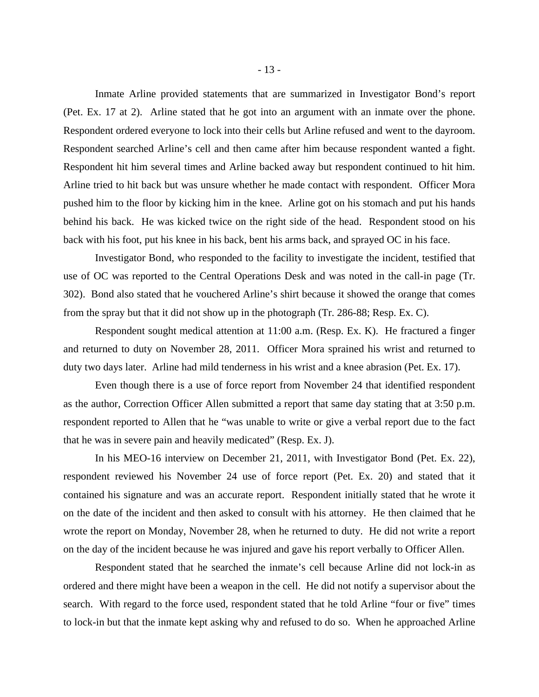Inmate Arline provided statements that are summarized in Investigator Bond's report (Pet. Ex. 17 at 2). Arline stated that he got into an argument with an inmate over the phone. Respondent ordered everyone to lock into their cells but Arline refused and went to the dayroom. Respondent searched Arline's cell and then came after him because respondent wanted a fight. Respondent hit him several times and Arline backed away but respondent continued to hit him. Arline tried to hit back but was unsure whether he made contact with respondent. Officer Mora pushed him to the floor by kicking him in the knee. Arline got on his stomach and put his hands behind his back. He was kicked twice on the right side of the head. Respondent stood on his back with his foot, put his knee in his back, bent his arms back, and sprayed OC in his face.

 Investigator Bond, who responded to the facility to investigate the incident, testified that use of OC was reported to the Central Operations Desk and was noted in the call-in page (Tr. 302). Bond also stated that he vouchered Arline's shirt because it showed the orange that comes from the spray but that it did not show up in the photograph (Tr. 286-88; Resp. Ex. C).

Respondent sought medical attention at 11:00 a.m. (Resp. Ex. K). He fractured a finger and returned to duty on November 28, 2011. Officer Mora sprained his wrist and returned to duty two days later. Arline had mild tenderness in his wrist and a knee abrasion (Pet. Ex. 17).

Even though there is a use of force report from November 24 that identified respondent as the author, Correction Officer Allen submitted a report that same day stating that at 3:50 p.m. respondent reported to Allen that he "was unable to write or give a verbal report due to the fact that he was in severe pain and heavily medicated" (Resp. Ex. J).

In his MEO-16 interview on December 21, 2011, with Investigator Bond (Pet. Ex. 22), respondent reviewed his November 24 use of force report (Pet. Ex. 20) and stated that it contained his signature and was an accurate report. Respondent initially stated that he wrote it on the date of the incident and then asked to consult with his attorney. He then claimed that he wrote the report on Monday, November 28, when he returned to duty. He did not write a report on the day of the incident because he was injured and gave his report verbally to Officer Allen.

Respondent stated that he searched the inmate's cell because Arline did not lock-in as ordered and there might have been a weapon in the cell. He did not notify a supervisor about the search. With regard to the force used, respondent stated that he told Arline "four or five" times to lock-in but that the inmate kept asking why and refused to do so. When he approached Arline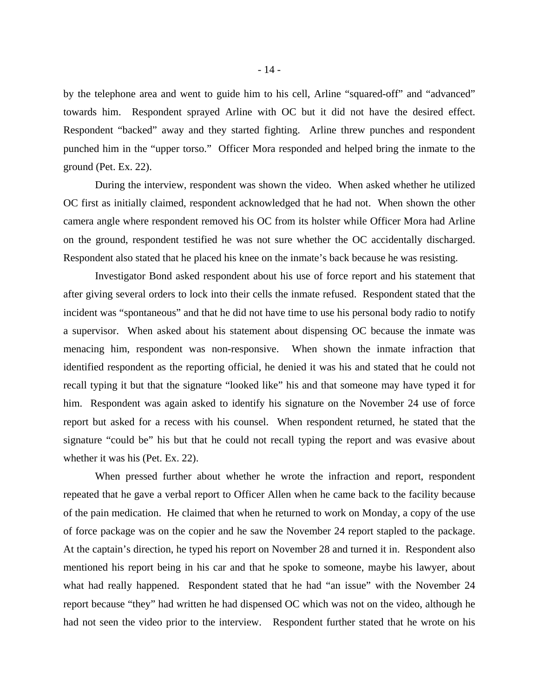by the telephone area and went to guide him to his cell, Arline "squared-off" and "advanced" towards him. Respondent sprayed Arline with OC but it did not have the desired effect. Respondent "backed" away and they started fighting. Arline threw punches and respondent punched him in the "upper torso." Officer Mora responded and helped bring the inmate to the ground (Pet. Ex. 22).

During the interview, respondent was shown the video. When asked whether he utilized OC first as initially claimed, respondent acknowledged that he had not. When shown the other camera angle where respondent removed his OC from its holster while Officer Mora had Arline on the ground, respondent testified he was not sure whether the OC accidentally discharged. Respondent also stated that he placed his knee on the inmate's back because he was resisting.

Investigator Bond asked respondent about his use of force report and his statement that after giving several orders to lock into their cells the inmate refused. Respondent stated that the incident was "spontaneous" and that he did not have time to use his personal body radio to notify a supervisor. When asked about his statement about dispensing OC because the inmate was menacing him, respondent was non-responsive. When shown the inmate infraction that identified respondent as the reporting official, he denied it was his and stated that he could not recall typing it but that the signature "looked like" his and that someone may have typed it for him. Respondent was again asked to identify his signature on the November 24 use of force report but asked for a recess with his counsel. When respondent returned, he stated that the signature "could be" his but that he could not recall typing the report and was evasive about whether it was his (Pet. Ex. 22).

When pressed further about whether he wrote the infraction and report, respondent repeated that he gave a verbal report to Officer Allen when he came back to the facility because of the pain medication. He claimed that when he returned to work on Monday, a copy of the use of force package was on the copier and he saw the November 24 report stapled to the package. At the captain's direction, he typed his report on November 28 and turned it in. Respondent also mentioned his report being in his car and that he spoke to someone, maybe his lawyer, about what had really happened. Respondent stated that he had "an issue" with the November 24 report because "they" had written he had dispensed OC which was not on the video, although he had not seen the video prior to the interview. Respondent further stated that he wrote on his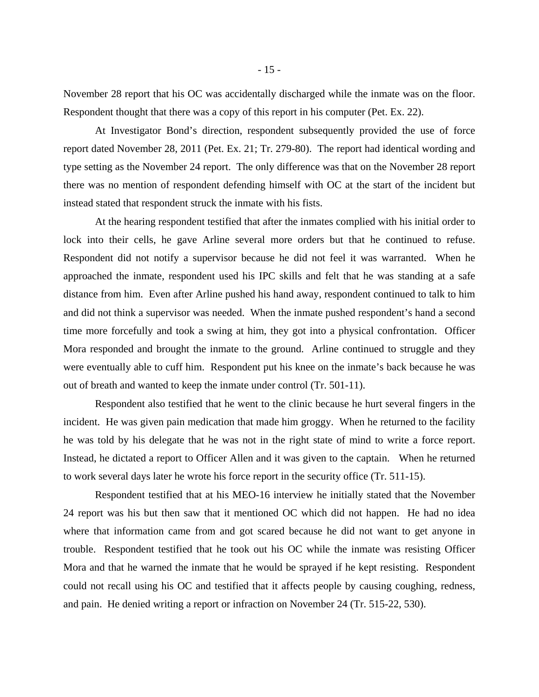November 28 report that his OC was accidentally discharged while the inmate was on the floor. Respondent thought that there was a copy of this report in his computer (Pet. Ex. 22).

At Investigator Bond's direction, respondent subsequently provided the use of force report dated November 28, 2011 (Pet. Ex. 21; Tr. 279-80). The report had identical wording and type setting as the November 24 report. The only difference was that on the November 28 report there was no mention of respondent defending himself with OC at the start of the incident but instead stated that respondent struck the inmate with his fists.

At the hearing respondent testified that after the inmates complied with his initial order to lock into their cells, he gave Arline several more orders but that he continued to refuse. Respondent did not notify a supervisor because he did not feel it was warranted. When he approached the inmate, respondent used his IPC skills and felt that he was standing at a safe distance from him. Even after Arline pushed his hand away, respondent continued to talk to him and did not think a supervisor was needed. When the inmate pushed respondent's hand a second time more forcefully and took a swing at him, they got into a physical confrontation. Officer Mora responded and brought the inmate to the ground. Arline continued to struggle and they were eventually able to cuff him. Respondent put his knee on the inmate's back because he was out of breath and wanted to keep the inmate under control (Tr. 501-11).

Respondent also testified that he went to the clinic because he hurt several fingers in the incident. He was given pain medication that made him groggy. When he returned to the facility he was told by his delegate that he was not in the right state of mind to write a force report. Instead, he dictated a report to Officer Allen and it was given to the captain. When he returned to work several days later he wrote his force report in the security office (Tr. 511-15).

Respondent testified that at his MEO-16 interview he initially stated that the November 24 report was his but then saw that it mentioned OC which did not happen. He had no idea where that information came from and got scared because he did not want to get anyone in trouble. Respondent testified that he took out his OC while the inmate was resisting Officer Mora and that he warned the inmate that he would be sprayed if he kept resisting. Respondent could not recall using his OC and testified that it affects people by causing coughing, redness, and pain. He denied writing a report or infraction on November 24 (Tr. 515-22, 530).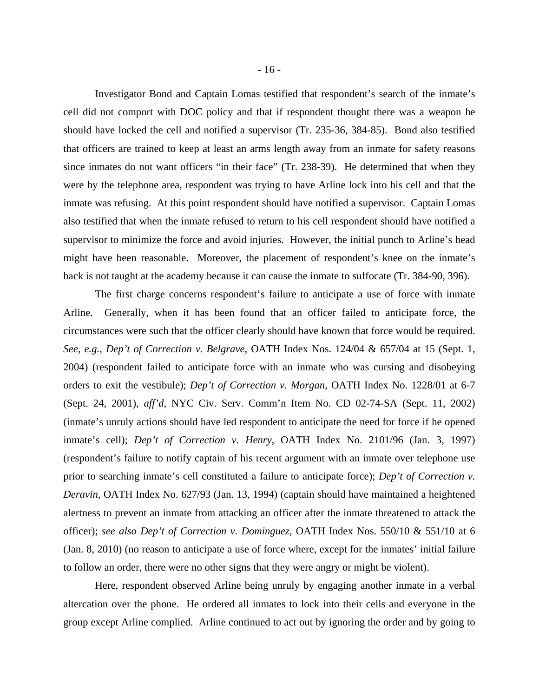Investigator Bond and Captain Lomas testified that respondent's search of the inmate's cell did not comport with DOC policy and that if respondent thought there was a weapon he should have locked the cell and notified a supervisor (Tr. 235-36, 384-85). Bond also testified that officers are trained to keep at least an arms length away from an inmate for safety reasons since inmates do not want officers "in their face" (Tr. 238-39). He determined that when they were by the telephone area, respondent was trying to have Arline lock into his cell and that the inmate was refusing. At this point respondent should have notified a supervisor. Captain Lomas also testified that when the inmate refused to return to his cell respondent should have notified a supervisor to minimize the force and avoid injuries. However, the initial punch to Arline's head might have been reasonable. Moreover, the placement of respondent's knee on the inmate's back is not taught at the academy because it can cause the inmate to suffocate (Tr. 384-90, 396).

The first charge concerns respondent's failure to anticipate a use of force with inmate Arline. Generally, when it has been found that an officer failed to anticipate force, the circumstances were such that the officer clearly should have known that force would be required. *See, e.g., Dep't of Correction v. Belgrave*, OATH Index Nos. 124/04 & 657/04 at 15 (Sept. 1, 2004) (respondent failed to anticipate force with an inmate who was cursing and disobeying orders to exit the vestibule); *Dep't of Correction v. Morgan*, OATH Index No. 1228/01 at 6-7 (Sept. 24, 2001), *aff'd*, NYC Civ. Serv. Comm'n Item No. CD 02-74-SA (Sept. 11, 2002) (inmate's unruly actions should have led respondent to anticipate the need for force if he opened inmate's cell); *Dep't of Correction v. Henry*, OATH Index No. 2101/96 (Jan. 3, 1997) (respondent's failure to notify captain of his recent argument with an inmate over telephone use prior to searching inmate's cell constituted a failure to anticipate force); *Dep't of Correction v. Deravin*, OATH Index No. 627/93 (Jan. 13, 1994) (captain should have maintained a heightened alertness to prevent an inmate from attacking an officer after the inmate threatened to attack the officer); *see also Dep't of Correction v. Dominguez,* OATH Index Nos. 550/10 & 551/10 at 6 (Jan. 8, 2010) (no reason to anticipate a use of force where, except for the inmates' initial failure to follow an order, there were no other signs that they were angry or might be violent).

Here, respondent observed Arline being unruly by engaging another inmate in a verbal altercation over the phone. He ordered all inmates to lock into their cells and everyone in the group except Arline complied. Arline continued to act out by ignoring the order and by going to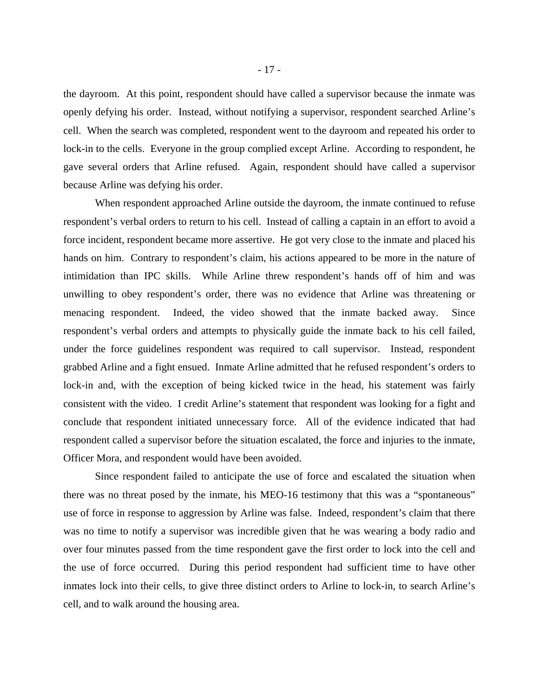the dayroom. At this point, respondent should have called a supervisor because the inmate was openly defying his order. Instead, without notifying a supervisor, respondent searched Arline's cell. When the search was completed, respondent went to the dayroom and repeated his order to lock-in to the cells. Everyone in the group complied except Arline. According to respondent, he gave several orders that Arline refused. Again, respondent should have called a supervisor because Arline was defying his order.

When respondent approached Arline outside the dayroom, the inmate continued to refuse respondent's verbal orders to return to his cell. Instead of calling a captain in an effort to avoid a force incident, respondent became more assertive. He got very close to the inmate and placed his hands on him. Contrary to respondent's claim, his actions appeared to be more in the nature of intimidation than IPC skills. While Arline threw respondent's hands off of him and was unwilling to obey respondent's order, there was no evidence that Arline was threatening or menacing respondent. Indeed, the video showed that the inmate backed away. Since respondent's verbal orders and attempts to physically guide the inmate back to his cell failed, under the force guidelines respondent was required to call supervisor. Instead, respondent grabbed Arline and a fight ensued. Inmate Arline admitted that he refused respondent's orders to lock-in and, with the exception of being kicked twice in the head, his statement was fairly consistent with the video. I credit Arline's statement that respondent was looking for a fight and conclude that respondent initiated unnecessary force. All of the evidence indicated that had respondent called a supervisor before the situation escalated, the force and injuries to the inmate, Officer Mora, and respondent would have been avoided.

Since respondent failed to anticipate the use of force and escalated the situation when there was no threat posed by the inmate, his MEO-16 testimony that this was a "spontaneous" use of force in response to aggression by Arline was false. Indeed, respondent's claim that there was no time to notify a supervisor was incredible given that he was wearing a body radio and over four minutes passed from the time respondent gave the first order to lock into the cell and the use of force occurred. During this period respondent had sufficient time to have other inmates lock into their cells, to give three distinct orders to Arline to lock-in, to search Arline's cell, and to walk around the housing area.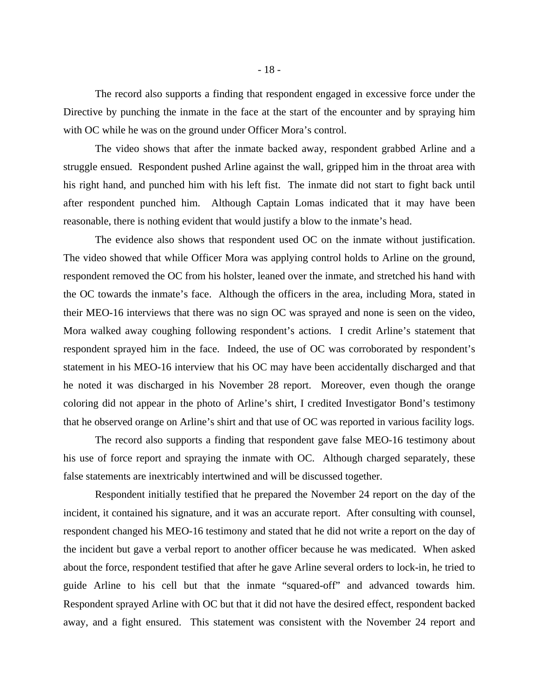The record also supports a finding that respondent engaged in excessive force under the Directive by punching the inmate in the face at the start of the encounter and by spraying him with OC while he was on the ground under Officer Mora's control.

The video shows that after the inmate backed away, respondent grabbed Arline and a struggle ensued. Respondent pushed Arline against the wall, gripped him in the throat area with his right hand, and punched him with his left fist. The inmate did not start to fight back until after respondent punched him. Although Captain Lomas indicated that it may have been reasonable, there is nothing evident that would justify a blow to the inmate's head.

The evidence also shows that respondent used OC on the inmate without justification. The video showed that while Officer Mora was applying control holds to Arline on the ground, respondent removed the OC from his holster, leaned over the inmate, and stretched his hand with the OC towards the inmate's face. Although the officers in the area, including Mora, stated in their MEO-16 interviews that there was no sign OC was sprayed and none is seen on the video, Mora walked away coughing following respondent's actions. I credit Arline's statement that respondent sprayed him in the face. Indeed, the use of OC was corroborated by respondent's statement in his MEO-16 interview that his OC may have been accidentally discharged and that he noted it was discharged in his November 28 report. Moreover, even though the orange coloring did not appear in the photo of Arline's shirt, I credited Investigator Bond's testimony that he observed orange on Arline's shirt and that use of OC was reported in various facility logs.

 The record also supports a finding that respondent gave false MEO-16 testimony about his use of force report and spraying the inmate with OC. Although charged separately, these false statements are inextricably intertwined and will be discussed together.

Respondent initially testified that he prepared the November 24 report on the day of the incident, it contained his signature, and it was an accurate report. After consulting with counsel, respondent changed his MEO-16 testimony and stated that he did not write a report on the day of the incident but gave a verbal report to another officer because he was medicated. When asked about the force, respondent testified that after he gave Arline several orders to lock-in, he tried to guide Arline to his cell but that the inmate "squared-off" and advanced towards him. Respondent sprayed Arline with OC but that it did not have the desired effect, respondent backed away, and a fight ensured. This statement was consistent with the November 24 report and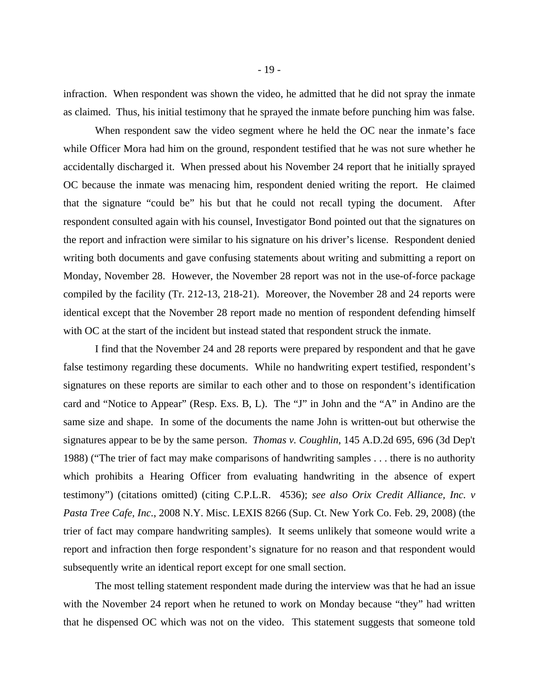infraction. When respondent was shown the video, he admitted that he did not spray the inmate as claimed. Thus, his initial testimony that he sprayed the inmate before punching him was false.

When respondent saw the video segment where he held the OC near the inmate's face while Officer Mora had him on the ground, respondent testified that he was not sure whether he accidentally discharged it. When pressed about his November 24 report that he initially sprayed OC because the inmate was menacing him, respondent denied writing the report. He claimed that the signature "could be" his but that he could not recall typing the document. After respondent consulted again with his counsel, Investigator Bond pointed out that the signatures on the report and infraction were similar to his signature on his driver's license. Respondent denied writing both documents and gave confusing statements about writing and submitting a report on Monday, November 28. However, the November 28 report was not in the use-of-force package compiled by the facility (Tr. 212-13, 218-21). Moreover, the November 28 and 24 reports were identical except that the November 28 report made no mention of respondent defending himself with OC at the start of the incident but instead stated that respondent struck the inmate.

I find that the November 24 and 28 reports were prepared by respondent and that he gave false testimony regarding these documents. While no handwriting expert testified, respondent's signatures on these reports are similar to each other and to those on respondent's identification card and "Notice to Appear" (Resp. Exs. B, L). The "J" in John and the "A" in Andino are the same size and shape. In some of the documents the name John is written-out but otherwise the signatures appear to be by the same person. *Thomas v. Coughlin*, 145 A.D.2d 695, 696 (3d Dep't 1988) ("The trier of fact may make comparisons of handwriting samples . . . there is no authority which prohibits a Hearing Officer from evaluating handwriting in the absence of expert testimony") (citations omitted) (citing C.P.L.R. 4536); *see also Orix Credit Alliance, Inc. v Pasta Tree Cafe, Inc.*, 2008 N.Y. Misc. LEXIS 8266 (Sup. Ct. New York Co. Feb. 29, 2008) (the trier of fact may compare handwriting samples). It seems unlikely that someone would write a report and infraction then forge respondent's signature for no reason and that respondent would subsequently write an identical report except for one small section.

The most telling statement respondent made during the interview was that he had an issue with the November 24 report when he retuned to work on Monday because "they" had written that he dispensed OC which was not on the video. This statement suggests that someone told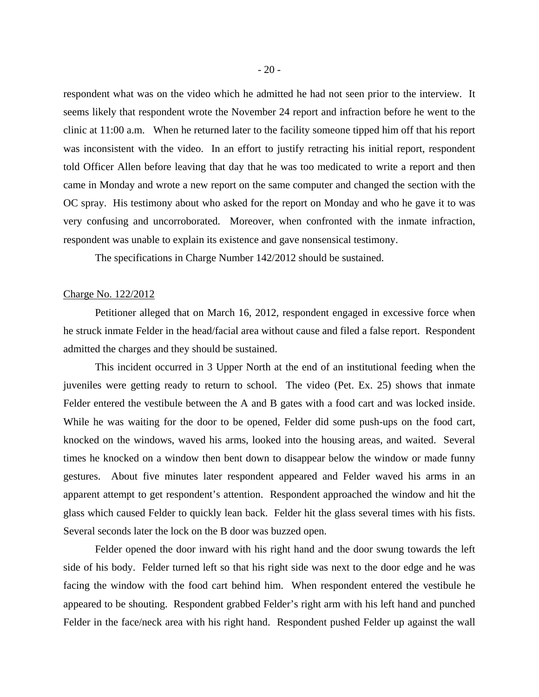respondent what was on the video which he admitted he had not seen prior to the interview. It seems likely that respondent wrote the November 24 report and infraction before he went to the clinic at 11:00 a.m. When he returned later to the facility someone tipped him off that his report was inconsistent with the video. In an effort to justify retracting his initial report, respondent told Officer Allen before leaving that day that he was too medicated to write a report and then came in Monday and wrote a new report on the same computer and changed the section with the OC spray. His testimony about who asked for the report on Monday and who he gave it to was very confusing and uncorroborated. Moreover, when confronted with the inmate infraction, respondent was unable to explain its existence and gave nonsensical testimony.

The specifications in Charge Number 142/2012 should be sustained.

#### Charge No. 122/2012

Petitioner alleged that on March 16, 2012, respondent engaged in excessive force when he struck inmate Felder in the head/facial area without cause and filed a false report. Respondent admitted the charges and they should be sustained.

This incident occurred in 3 Upper North at the end of an institutional feeding when the juveniles were getting ready to return to school. The video (Pet. Ex. 25) shows that inmate Felder entered the vestibule between the A and B gates with a food cart and was locked inside. While he was waiting for the door to be opened, Felder did some push-ups on the food cart, knocked on the windows, waved his arms, looked into the housing areas, and waited. Several times he knocked on a window then bent down to disappear below the window or made funny gestures. About five minutes later respondent appeared and Felder waved his arms in an apparent attempt to get respondent's attention. Respondent approached the window and hit the glass which caused Felder to quickly lean back. Felder hit the glass several times with his fists. Several seconds later the lock on the B door was buzzed open.

Felder opened the door inward with his right hand and the door swung towards the left side of his body. Felder turned left so that his right side was next to the door edge and he was facing the window with the food cart behind him. When respondent entered the vestibule he appeared to be shouting. Respondent grabbed Felder's right arm with his left hand and punched Felder in the face/neck area with his right hand. Respondent pushed Felder up against the wall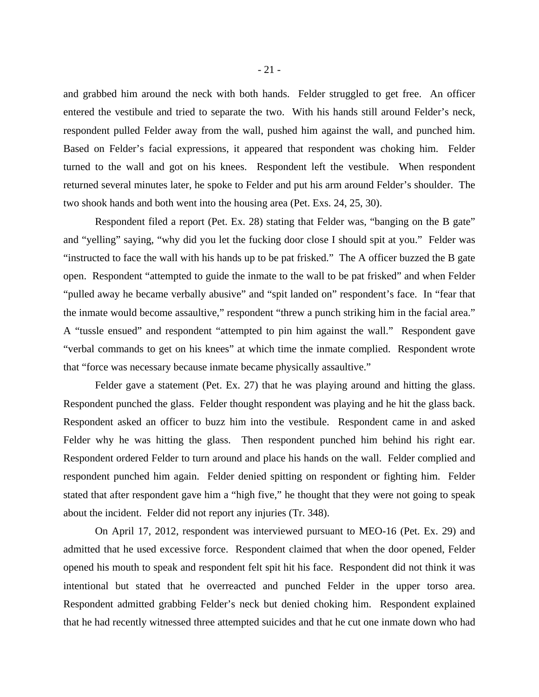and grabbed him around the neck with both hands. Felder struggled to get free. An officer entered the vestibule and tried to separate the two. With his hands still around Felder's neck, respondent pulled Felder away from the wall, pushed him against the wall, and punched him. Based on Felder's facial expressions, it appeared that respondent was choking him. Felder turned to the wall and got on his knees. Respondent left the vestibule. When respondent returned several minutes later, he spoke to Felder and put his arm around Felder's shoulder. The two shook hands and both went into the housing area (Pet. Exs. 24, 25, 30).

Respondent filed a report (Pet. Ex. 28) stating that Felder was, "banging on the B gate" and "yelling" saying, "why did you let the fucking door close I should spit at you." Felder was "instructed to face the wall with his hands up to be pat frisked." The A officer buzzed the B gate open. Respondent "attempted to guide the inmate to the wall to be pat frisked" and when Felder "pulled away he became verbally abusive" and "spit landed on" respondent's face. In "fear that the inmate would become assaultive," respondent "threw a punch striking him in the facial area." A "tussle ensued" and respondent "attempted to pin him against the wall." Respondent gave "verbal commands to get on his knees" at which time the inmate complied. Respondent wrote that "force was necessary because inmate became physically assaultive."

Felder gave a statement (Pet. Ex. 27) that he was playing around and hitting the glass. Respondent punched the glass. Felder thought respondent was playing and he hit the glass back. Respondent asked an officer to buzz him into the vestibule. Respondent came in and asked Felder why he was hitting the glass. Then respondent punched him behind his right ear. Respondent ordered Felder to turn around and place his hands on the wall. Felder complied and respondent punched him again. Felder denied spitting on respondent or fighting him. Felder stated that after respondent gave him a "high five," he thought that they were not going to speak about the incident. Felder did not report any injuries (Tr. 348).

On April 17, 2012, respondent was interviewed pursuant to MEO-16 (Pet. Ex. 29) and admitted that he used excessive force. Respondent claimed that when the door opened, Felder opened his mouth to speak and respondent felt spit hit his face. Respondent did not think it was intentional but stated that he overreacted and punched Felder in the upper torso area. Respondent admitted grabbing Felder's neck but denied choking him. Respondent explained that he had recently witnessed three attempted suicides and that he cut one inmate down who had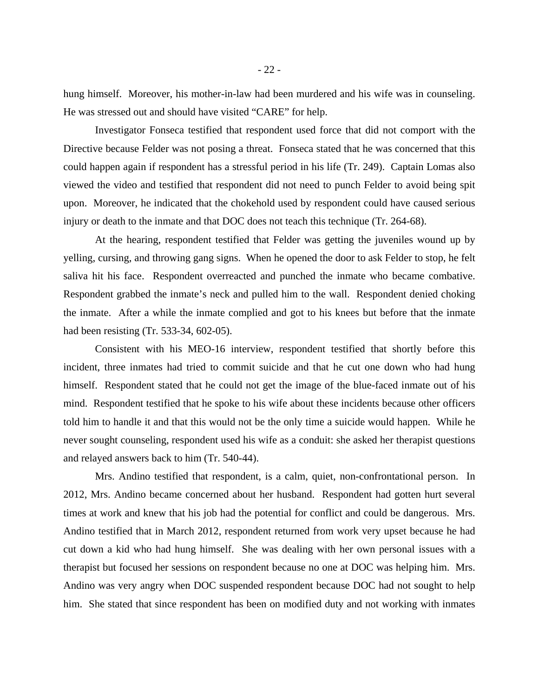hung himself. Moreover, his mother-in-law had been murdered and his wife was in counseling. He was stressed out and should have visited "CARE" for help.

Investigator Fonseca testified that respondent used force that did not comport with the Directive because Felder was not posing a threat. Fonseca stated that he was concerned that this could happen again if respondent has a stressful period in his life (Tr. 249). Captain Lomas also viewed the video and testified that respondent did not need to punch Felder to avoid being spit upon. Moreover, he indicated that the chokehold used by respondent could have caused serious injury or death to the inmate and that DOC does not teach this technique (Tr. 264-68).

At the hearing, respondent testified that Felder was getting the juveniles wound up by yelling, cursing, and throwing gang signs. When he opened the door to ask Felder to stop, he felt saliva hit his face. Respondent overreacted and punched the inmate who became combative. Respondent grabbed the inmate's neck and pulled him to the wall. Respondent denied choking the inmate. After a while the inmate complied and got to his knees but before that the inmate had been resisting (Tr. 533-34, 602-05).

Consistent with his MEO-16 interview, respondent testified that shortly before this incident, three inmates had tried to commit suicide and that he cut one down who had hung himself. Respondent stated that he could not get the image of the blue-faced inmate out of his mind. Respondent testified that he spoke to his wife about these incidents because other officers told him to handle it and that this would not be the only time a suicide would happen. While he never sought counseling, respondent used his wife as a conduit: she asked her therapist questions and relayed answers back to him (Tr. 540-44).

Mrs. Andino testified that respondent, is a calm, quiet, non-confrontational person. In 2012, Mrs. Andino became concerned about her husband. Respondent had gotten hurt several times at work and knew that his job had the potential for conflict and could be dangerous. Mrs. Andino testified that in March 2012, respondent returned from work very upset because he had cut down a kid who had hung himself. She was dealing with her own personal issues with a therapist but focused her sessions on respondent because no one at DOC was helping him. Mrs. Andino was very angry when DOC suspended respondent because DOC had not sought to help him. She stated that since respondent has been on modified duty and not working with inmates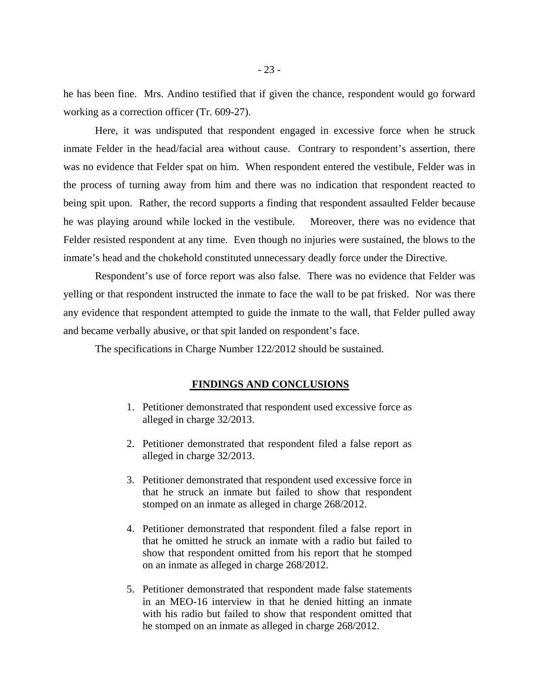he has been fine. Mrs. Andino testified that if given the chance, respondent would go forward working as a correction officer (Tr. 609-27).

Here, it was undisputed that respondent engaged in excessive force when he struck inmate Felder in the head/facial area without cause. Contrary to respondent's assertion, there was no evidence that Felder spat on him. When respondent entered the vestibule, Felder was in the process of turning away from him and there was no indication that respondent reacted to being spit upon. Rather, the record supports a finding that respondent assaulted Felder because he was playing around while locked in the vestibule. Moreover, there was no evidence that Felder resisted respondent at any time. Even though no injuries were sustained, the blows to the inmate's head and the chokehold constituted unnecessary deadly force under the Directive.

Respondent's use of force report was also false. There was no evidence that Felder was yelling or that respondent instructed the inmate to face the wall to be pat frisked. Nor was there any evidence that respondent attempted to guide the inmate to the wall, that Felder pulled away and became verbally abusive, or that spit landed on respondent's face.

The specifications in Charge Number 122/2012 should be sustained.

#### **FINDINGS AND CONCLUSIONS**

- 1. Petitioner demonstrated that respondent used excessive force as alleged in charge 32/2013.
- 2. Petitioner demonstrated that respondent filed a false report as alleged in charge 32/2013.
- 3. Petitioner demonstrated that respondent used excessive force in that he struck an inmate but failed to show that respondent stomped on an inmate as alleged in charge 268/2012.
- 4. Petitioner demonstrated that respondent filed a false report in that he omitted he struck an inmate with a radio but failed to show that respondent omitted from his report that he stomped on an inmate as alleged in charge 268/2012.
- 5. Petitioner demonstrated that respondent made false statements in an MEO-16 interview in that he denied hitting an inmate with his radio but failed to show that respondent omitted that he stomped on an inmate as alleged in charge 268/2012.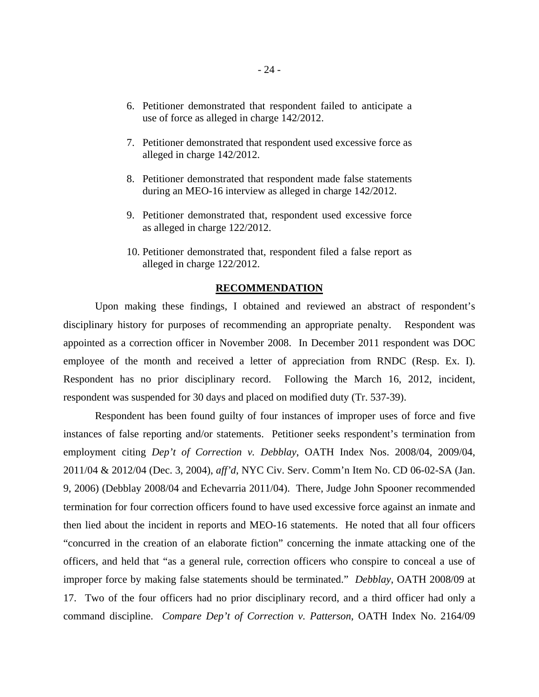- 6. Petitioner demonstrated that respondent failed to anticipate a use of force as alleged in charge 142/2012.
- 7. Petitioner demonstrated that respondent used excessive force as alleged in charge 142/2012.
- 8. Petitioner demonstrated that respondent made false statements during an MEO-16 interview as alleged in charge 142/2012.
- 9. Petitioner demonstrated that, respondent used excessive force as alleged in charge 122/2012.
- 10. Petitioner demonstrated that, respondent filed a false report as alleged in charge 122/2012.

#### **RECOMMENDATION**

Upon making these findings, I obtained and reviewed an abstract of respondent's disciplinary history for purposes of recommending an appropriate penalty. Respondent was appointed as a correction officer in November 2008. In December 2011 respondent was DOC employee of the month and received a letter of appreciation from RNDC (Resp. Ex. I). Respondent has no prior disciplinary record. Following the March 16, 2012, incident, respondent was suspended for 30 days and placed on modified duty (Tr. 537-39).

Respondent has been found guilty of four instances of improper uses of force and five instances of false reporting and/or statements. Petitioner seeks respondent's termination from employment citing *Dep't of Correction v. Debblay*, OATH Index Nos. 2008/04, 2009/04, 2011/04 & 2012/04 (Dec. 3, 2004), *aff'd*, NYC Civ. Serv. Comm'n Item No. CD 06-02-SA (Jan. 9, 2006) (Debblay 2008/04 and Echevarria 2011/04). There, Judge John Spooner recommended termination for four correction officers found to have used excessive force against an inmate and then lied about the incident in reports and MEO-16 statements. He noted that all four officers "concurred in the creation of an elaborate fiction" concerning the inmate attacking one of the officers, and held that "as a general rule, correction officers who conspire to conceal a use of improper force by making false statements should be terminated." *Debblay*, OATH 2008/09 at 17. Two of the four officers had no prior disciplinary record, and a third officer had only a command discipline. *Compare Dep't of Correction v. Patterson*, OATH Index No. 2164/09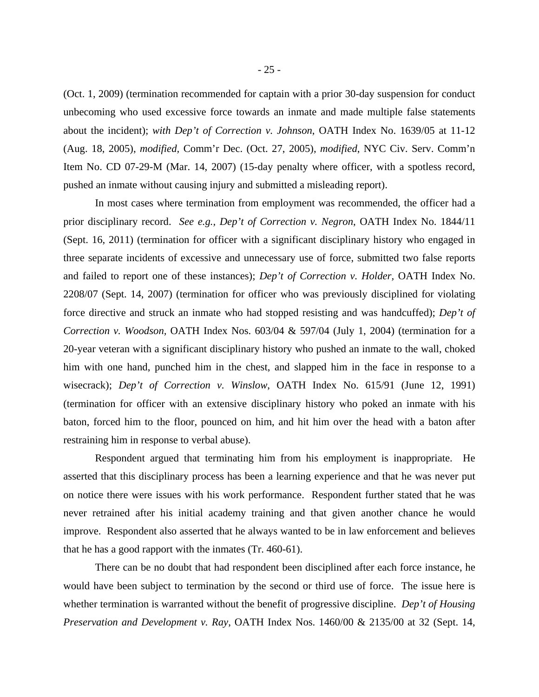(Oct. 1, 2009) (termination recommended for captain with a prior 30-day suspension for conduct unbecoming who used excessive force towards an inmate and made multiple false statements about the incident); *with Dep't of Correction v. Johnson*, OATH Index No. 1639/05 at 11-12 (Aug. 18, 2005), *modified,* Comm'r Dec. (Oct. 27, 2005), *modified*, NYC Civ. Serv. Comm'n Item No. CD 07-29-M (Mar. 14, 2007) (15-day penalty where officer, with a spotless record, pushed an inmate without causing injury and submitted a misleading report).

In most cases where termination from employment was recommended, the officer had a prior disciplinary record. *See e.g., Dep't of Correction v. Negron*, OATH Index No. 1844/11 (Sept. 16, 2011) (termination for officer with a significant disciplinary history who engaged in three separate incidents of excessive and unnecessary use of force, submitted two false reports and failed to report one of these instances); *Dep't of Correction v. Holder,* OATH Index No. 2208/07 (Sept. 14, 2007) (termination for officer who was previously disciplined for violating force directive and struck an inmate who had stopped resisting and was handcuffed); *Dep't of Correction v. Woodson,* OATH Index Nos. 603/04 & 597/04 (July 1, 2004) (termination for a 20-year veteran with a significant disciplinary history who pushed an inmate to the wall, choked him with one hand, punched him in the chest, and slapped him in the face in response to a wisecrack); *Dep't of Correction v. Winslow*, OATH Index No. 615/91 (June 12, 1991) (termination for officer with an extensive disciplinary history who poked an inmate with his baton, forced him to the floor, pounced on him, and hit him over the head with a baton after restraining him in response to verbal abuse).

Respondent argued that terminating him from his employment is inappropriate. He asserted that this disciplinary process has been a learning experience and that he was never put on notice there were issues with his work performance. Respondent further stated that he was never retrained after his initial academy training and that given another chance he would improve. Respondent also asserted that he always wanted to be in law enforcement and believes that he has a good rapport with the inmates (Tr. 460-61).

 There can be no doubt that had respondent been disciplined after each force instance, he would have been subject to termination by the second or third use of force. The issue here is whether termination is warranted without the benefit of progressive discipline. *Dep't of Housing Preservation and Development v. Ray*, OATH Index Nos. 1460/00 & 2135/00 at 32 (Sept. 14,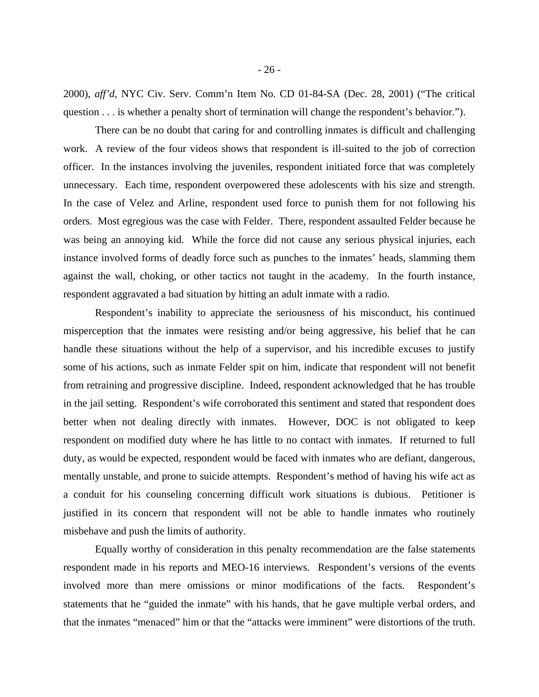2000), *aff'd*, NYC Civ. Serv. Comm'n Item No. CD 01-84-SA (Dec. 28, 2001) ("The critical question . . . is whether a penalty short of termination will change the respondent's behavior.").

 There can be no doubt that caring for and controlling inmates is difficult and challenging work. A review of the four videos shows that respondent is ill-suited to the job of correction officer. In the instances involving the juveniles, respondent initiated force that was completely unnecessary. Each time, respondent overpowered these adolescents with his size and strength. In the case of Velez and Arline, respondent used force to punish them for not following his orders. Most egregious was the case with Felder. There, respondent assaulted Felder because he was being an annoying kid. While the force did not cause any serious physical injuries, each instance involved forms of deadly force such as punches to the inmates' heads, slamming them against the wall, choking, or other tactics not taught in the academy. In the fourth instance, respondent aggravated a bad situation by hitting an adult inmate with a radio.

 Respondent's inability to appreciate the seriousness of his misconduct, his continued misperception that the inmates were resisting and/or being aggressive, his belief that he can handle these situations without the help of a supervisor, and his incredible excuses to justify some of his actions, such as inmate Felder spit on him, indicate that respondent will not benefit from retraining and progressive discipline. Indeed, respondent acknowledged that he has trouble in the jail setting. Respondent's wife corroborated this sentiment and stated that respondent does better when not dealing directly with inmates. However, DOC is not obligated to keep respondent on modified duty where he has little to no contact with inmates. If returned to full duty, as would be expected, respondent would be faced with inmates who are defiant, dangerous, mentally unstable, and prone to suicide attempts. Respondent's method of having his wife act as a conduit for his counseling concerning difficult work situations is dubious. Petitioner is justified in its concern that respondent will not be able to handle inmates who routinely misbehave and push the limits of authority.

Equally worthy of consideration in this penalty recommendation are the false statements respondent made in his reports and MEO-16 interviews. Respondent's versions of the events involved more than mere omissions or minor modifications of the facts. Respondent's statements that he "guided the inmate" with his hands, that he gave multiple verbal orders, and that the inmates "menaced" him or that the "attacks were imminent" were distortions of the truth.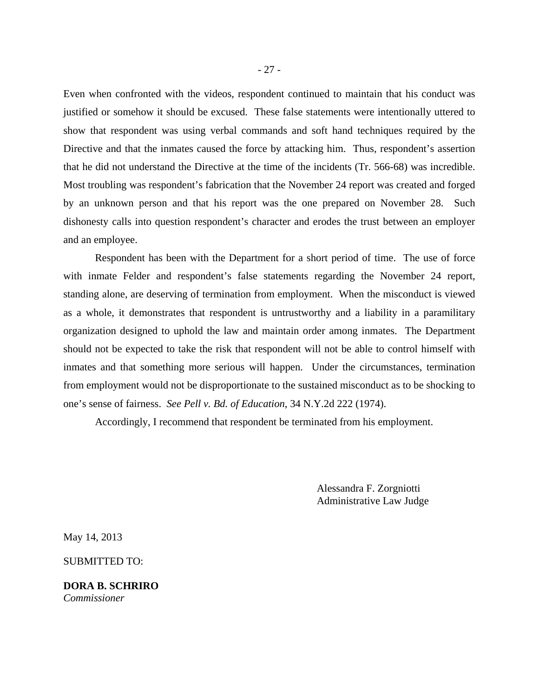Even when confronted with the videos, respondent continued to maintain that his conduct was justified or somehow it should be excused. These false statements were intentionally uttered to show that respondent was using verbal commands and soft hand techniques required by the Directive and that the inmates caused the force by attacking him. Thus, respondent's assertion that he did not understand the Directive at the time of the incidents (Tr. 566-68) was incredible. Most troubling was respondent's fabrication that the November 24 report was created and forged by an unknown person and that his report was the one prepared on November 28. Such dishonesty calls into question respondent's character and erodes the trust between an employer and an employee.

Respondent has been with the Department for a short period of time. The use of force with inmate Felder and respondent's false statements regarding the November 24 report, standing alone, are deserving of termination from employment. When the misconduct is viewed as a whole, it demonstrates that respondent is untrustworthy and a liability in a paramilitary organization designed to uphold the law and maintain order among inmates. The Department should not be expected to take the risk that respondent will not be able to control himself with inmates and that something more serious will happen. Under the circumstances, termination from employment would not be disproportionate to the sustained misconduct as to be shocking to one's sense of fairness. *See Pell v. Bd. of Education*, 34 N.Y.2d 222 (1974).

Accordingly, I recommend that respondent be terminated from his employment.

 Alessandra F. Zorgniotti Administrative Law Judge

May 14, 2013

SUBMITTED TO:

**DORA B. SCHRIRO**  *Commissioner*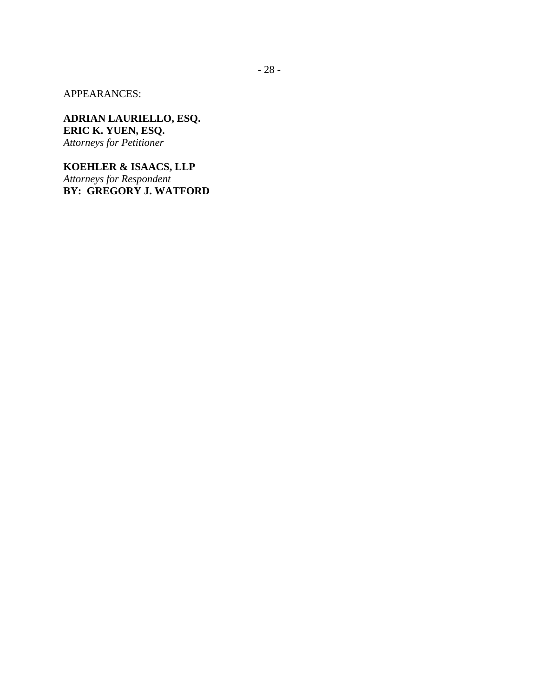APPEARANCES:

**ADRIAN LAURIELLO, ESQ. ERIC K. YUEN, ESQ.**  *Attorneys for Petitioner* 

**KOEHLER & ISAACS, LLP**  *Attorneys for Respondent*  **BY: GREGORY J. WATFORD**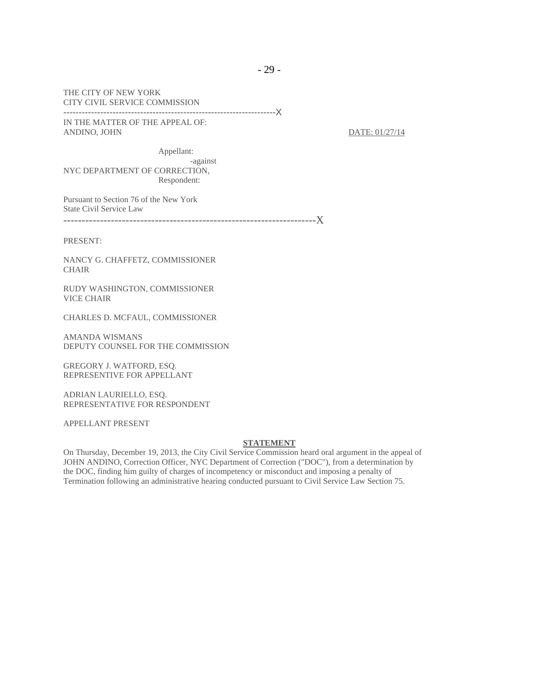THE CITY OF NEW YORK CITY CIVIL SERVICE COMMISSION

IN THE MATTER OF THE APPEAL OF: ANDINO, JOHN DATE: 01/27/14

---------------------------------------------------------------------X

Appellant: -against NYC DEPARTMENT OF CORRECTION, Respondent:

Pursuant to Section 76 of the New York State Civil Service Law

---------------------------------------------------------------------X

PRESENT:

NANCY G. CHAFFETZ, COMMISSIONER **CHAIR** 

RUDY WASHINGTON, COMMISSIONER VICE CHAIR

CHARLES D. MCFAUL, COMMISSIONER

AMANDA WISMANS DEPUTY COUNSEL FOR THE COMMISSION

GREGORY J. WATFORD, ESQ. REPRESENTIVE FOR APPELLANT

ADRIAN LAURIELLO, ESQ. REPRESENTATIVE FOR RESPONDENT

APPELLANT PRESENT

#### **STATEMENT**

On Thursday, December 19, 2013, the City Civil Service Commission heard oral argument in the appeal of JOHN ANDINO, Correction Officer, NYC Department of Correction ("DOC"), from a determination by the DOC, finding him guilty of charges of incompetency or misconduct and imposing a penalty of Termination following an administrative hearing conducted pursuant to Civil Service Law Section 75.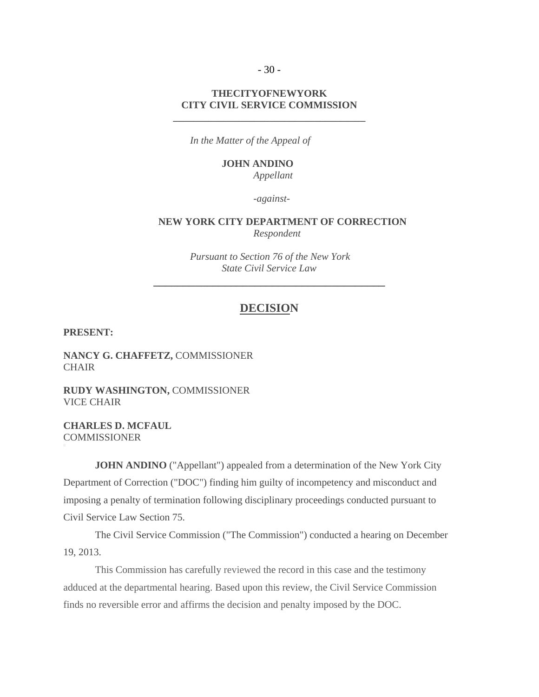$-30-$ 

### **THECITYOFNEWYORK CITY CIVIL SERVICE COMMISSION \_\_\_\_\_\_\_\_\_\_\_\_\_\_\_\_\_\_\_\_\_\_\_\_\_\_\_\_\_\_\_\_\_\_\_\_\_\_**

*In the Matter of the Appeal of* 

#### **JOHN ANDINO**

*Appellant* 

*-against-*

#### **NEW YORK CITY DEPARTMENT OF CORRECTION**  *Respondent*

*Pursuant to Section 76 of the New York State Civil Service Law* 

**\_\_\_\_\_\_\_\_\_\_\_\_\_\_\_\_\_\_\_\_\_\_\_\_\_\_\_\_\_\_\_\_\_\_\_\_\_\_\_** 

# **DECISION**

**PRESENT:** 

**NANCY G. CHAFFETZ,** COMMISSIONER **CHAIR** 

**RUDY WASHINGTON,** COMMISSIONER VICE CHAIR

**CHARLES D. MCFAUL COMMISSIONER** 

**JOHN ANDINO** ("Appellant") appealed from a determination of the New York City Department of Correction ("DOC") finding him guilty of incompetency and misconduct and imposing a penalty of termination following disciplinary proceedings conducted pursuant to Civil Service Law Section 75.

The Civil Service Commission ("The Commission") conducted a hearing on December 19, 2013.

This Commission has carefully reviewed the record in this case and the testimony adduced at the departmental hearing. Based upon this review, the Civil Service Commission finds no reversible error and affirms the decision and penalty imposed by the DOC.